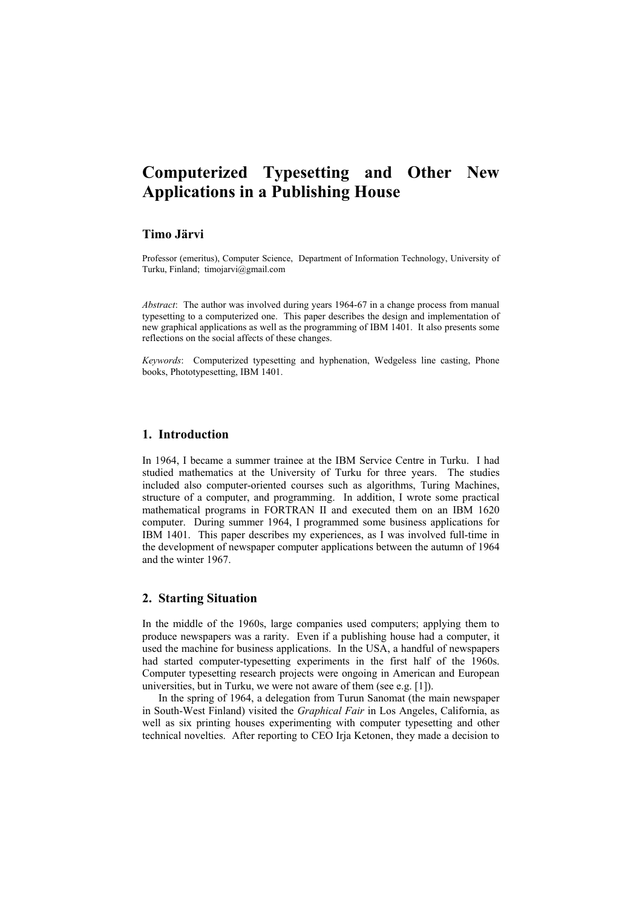# **Computerized Typesetting and Other New Applications in a Publishing House**

## **Timo Järvi**

Professor (emeritus), Computer Science, Department of Information Technology, University of Turku, Finland; timojarvi@gmail.com

*Abstract*: The author was involved during years 1964-67 in a change process from manual typesetting to a computerized one. This paper describes the design and implementation of new graphical applications as well as the programming of IBM 1401. It also presents some reflections on the social affects of these changes.

*Keywords*: Computerized typesetting and hyphenation, Wedgeless line casting, Phone books, Phototypesetting, IBM 1401.

#### **1. Introduction**

In 1964, I became a summer trainee at the IBM Service Centre in Turku. I had studied mathematics at the University of Turku for three years. The studies included also computer-oriented courses such as algorithms, Turing Machines, structure of a computer, and programming. In addition, I wrote some practical mathematical programs in FORTRAN II and executed them on an IBM 1620 computer. During summer 1964, I programmed some business applications for IBM 1401. This paper describes my experiences, as I was involved full-time in the development of newspaper computer applications between the autumn of 1964 and the winter 1967.

#### **2. Starting Situation**

In the middle of the 1960s, large companies used computers; applying them to produce newspapers was a rarity. Even if a publishing house had a computer, it used the machine for business applications. In the USA, a handful of newspapers had started computer-typesetting experiments in the first half of the 1960s. Computer typesetting research projects were ongoing in American and European universities, but in Turku, we were not aware of them (see e.g. [1]).

In the spring of 1964, a delegation from Turun Sanomat (the main newspaper in South-West Finland) visited the *Graphical Fair* in Los Angeles, California, as well as six printing houses experimenting with computer typesetting and other technical novelties. After reporting to CEO Irja Ketonen, they made a decision to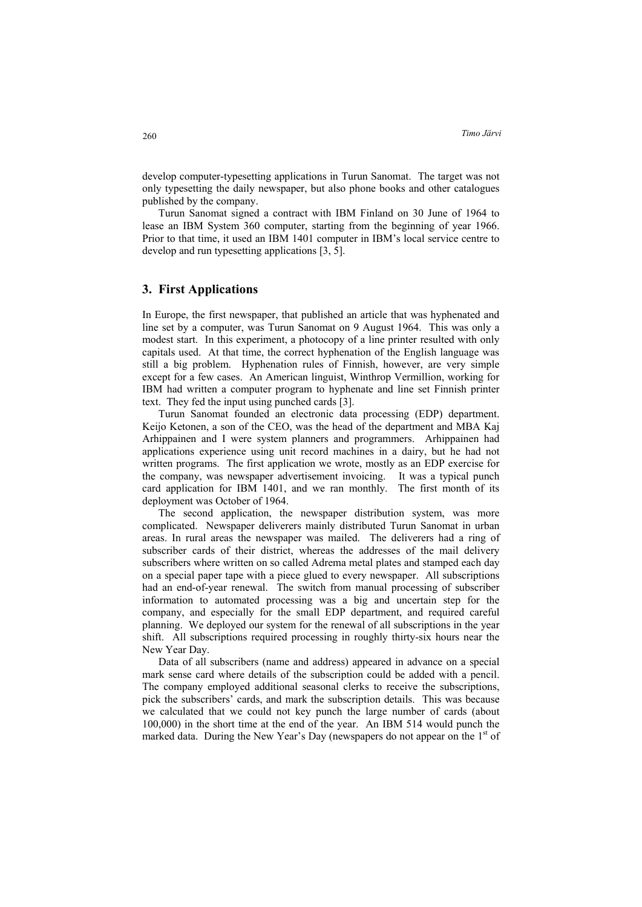develop computer-typesetting applications in Turun Sanomat. The target was not only typesetting the daily newspaper, but also phone books and other catalogues published by the company.

Turun Sanomat signed a contract with IBM Finland on 30 June of 1964 to lease an IBM System 360 computer, starting from the beginning of year 1966. Prior to that time, it used an IBM 1401 computer in IBM's local service centre to develop and run typesetting applications [3, 5].

#### **3. First Applications**

In Europe, the first newspaper, that published an article that was hyphenated and line set by a computer, was Turun Sanomat on 9 August 1964. This was only a modest start. In this experiment, a photocopy of a line printer resulted with only capitals used. At that time, the correct hyphenation of the English language was still a big problem. Hyphenation rules of Finnish, however, are very simple except for a few cases. An American linguist, Winthrop Vermillion, working for IBM had written a computer program to hyphenate and line set Finnish printer text. They fed the input using punched cards [3].

Turun Sanomat founded an electronic data processing (EDP) department. Keijo Ketonen, a son of the CEO, was the head of the department and MBA Kaj Arhippainen and I were system planners and programmers. Arhippainen had applications experience using unit record machines in a dairy, but he had not written programs. The first application we wrote, mostly as an EDP exercise for the company, was newspaper advertisement invoicing. It was a typical punch card application for IBM 1401, and we ran monthly. The first month of its deployment was October of 1964.

The second application, the newspaper distribution system, was more complicated. Newspaper deliverers mainly distributed Turun Sanomat in urban areas. In rural areas the newspaper was mailed. The deliverers had a ring of subscriber cards of their district, whereas the addresses of the mail delivery subscribers where written on so called Adrema metal plates and stamped each day on a special paper tape with a piece glued to every newspaper. All subscriptions had an end-of-year renewal. The switch from manual processing of subscriber information to automated processing was a big and uncertain step for the company, and especially for the small EDP department, and required careful planning. We deployed our system for the renewal of all subscriptions in the year shift. All subscriptions required processing in roughly thirty-six hours near the New Year Day.

Data of all subscribers (name and address) appeared in advance on a special mark sense card where details of the subscription could be added with a pencil. The company employed additional seasonal clerks to receive the subscriptions, pick the subscribers' cards, and mark the subscription details. This was because we calculated that we could not key punch the large number of cards (about 100,000) in the short time at the end of the year. An IBM 514 would punch the marked data. During the New Year's Day (newspapers do not appear on the  $1<sup>st</sup>$  of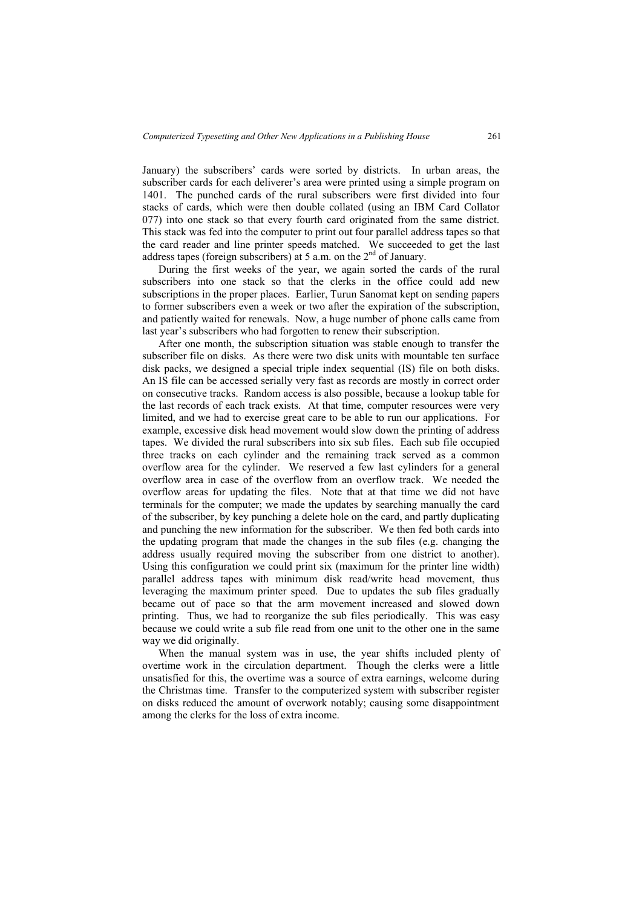January) the subscribers' cards were sorted by districts. In urban areas, the subscriber cards for each deliverer's area were printed using a simple program on 1401. The punched cards of the rural subscribers were first divided into four stacks of cards, which were then double collated (using an IBM Card Collator 077) into one stack so that every fourth card originated from the same district. This stack was fed into the computer to print out four parallel address tapes so that the card reader and line printer speeds matched. We succeeded to get the last address tapes (foreign subscribers) at 5 a.m. on the  $2<sup>nd</sup>$  of January.

During the first weeks of the year, we again sorted the cards of the rural subscribers into one stack so that the clerks in the office could add new subscriptions in the proper places. Earlier, Turun Sanomat kept on sending papers to former subscribers even a week or two after the expiration of the subscription, and patiently waited for renewals. Now, a huge number of phone calls came from last year's subscribers who had forgotten to renew their subscription.

After one month, the subscription situation was stable enough to transfer the subscriber file on disks. As there were two disk units with mountable ten surface disk packs, we designed a special triple index sequential (IS) file on both disks. An IS file can be accessed serially very fast as records are mostly in correct order on consecutive tracks. Random access is also possible, because a lookup table for the last records of each track exists. At that time, computer resources were very limited, and we had to exercise great care to be able to run our applications. For example, excessive disk head movement would slow down the printing of address tapes. We divided the rural subscribers into six sub files. Each sub file occupied three tracks on each cylinder and the remaining track served as a common overflow area for the cylinder. We reserved a few last cylinders for a general overflow area in case of the overflow from an overflow track. We needed the overflow areas for updating the files. Note that at that time we did not have terminals for the computer; we made the updates by searching manually the card of the subscriber, by key punching a delete hole on the card, and partly duplicating and punching the new information for the subscriber. We then fed both cards into the updating program that made the changes in the sub files (e.g. changing the address usually required moving the subscriber from one district to another). Using this configuration we could print six (maximum for the printer line width) parallel address tapes with minimum disk read/write head movement, thus leveraging the maximum printer speed. Due to updates the sub files gradually became out of pace so that the arm movement increased and slowed down printing. Thus, we had to reorganize the sub files periodically. This was easy because we could write a sub file read from one unit to the other one in the same way we did originally.

When the manual system was in use, the year shifts included plenty of overtime work in the circulation department. Though the clerks were a little unsatisfied for this, the overtime was a source of extra earnings, welcome during the Christmas time. Transfer to the computerized system with subscriber register on disks reduced the amount of overwork notably; causing some disappointment among the clerks for the loss of extra income.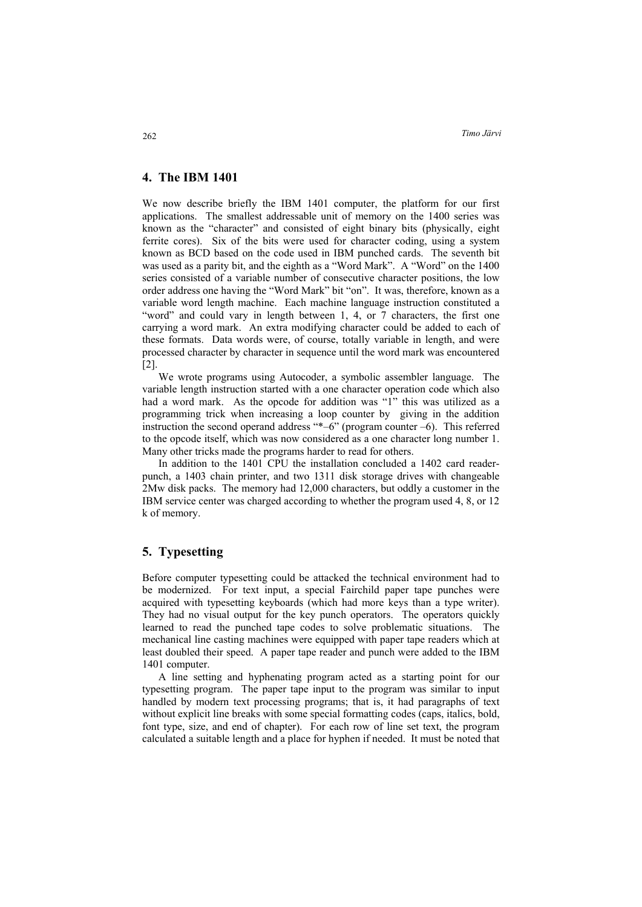262 *Timo Järvi* 

# **4. The IBM 1401**

We now describe briefly the IBM 1401 computer, the platform for our first applications. The smallest addressable unit of memory on the 1400 series was known as the "character" and consisted of eight binary bits (physically, eight ferrite cores). Six of the bits were used for character coding, using a system known as BCD based on the code used in IBM punched cards. The seventh bit was used as a parity bit, and the eighth as a "Word Mark". A "Word" on the 1400 series consisted of a variable number of consecutive character positions, the low order address one having the "Word Mark" bit "on". It was, therefore, known as a variable word length machine. Each machine language instruction constituted a "word" and could vary in length between 1, 4, or 7 characters, the first one carrying a word mark. An extra modifying character could be added to each of these formats. Data words were, of course, totally variable in length, and were processed character by character in sequence until the word mark was encountered [2].

We wrote programs using Autocoder, a symbolic assembler language. The variable length instruction started with a one character operation code which also had a word mark. As the opcode for addition was "1" this was utilized as a programming trick when increasing a loop counter by giving in the addition instruction the second operand address "\*–6" (program counter –6). This referred to the opcode itself, which was now considered as a one character long number 1. Many other tricks made the programs harder to read for others.

In addition to the 1401 CPU the installation concluded a 1402 card readerpunch, a 1403 chain printer, and two 1311 disk storage drives with changeable 2Mw disk packs. The memory had 12,000 characters, but oddly a customer in the IBM service center was charged according to whether the program used 4, 8, or 12 k of memory.

# **5. Typesetting**

Before computer typesetting could be attacked the technical environment had to be modernized. For text input, a special Fairchild paper tape punches were acquired with typesetting keyboards (which had more keys than a type writer). They had no visual output for the key punch operators. The operators quickly learned to read the punched tape codes to solve problematic situations. The mechanical line casting machines were equipped with paper tape readers which at least doubled their speed. A paper tape reader and punch were added to the IBM 1401 computer.

A line setting and hyphenating program acted as a starting point for our typesetting program. The paper tape input to the program was similar to input handled by modern text processing programs; that is, it had paragraphs of text without explicit line breaks with some special formatting codes (caps, italics, bold, font type, size, and end of chapter). For each row of line set text, the program calculated a suitable length and a place for hyphen if needed. It must be noted that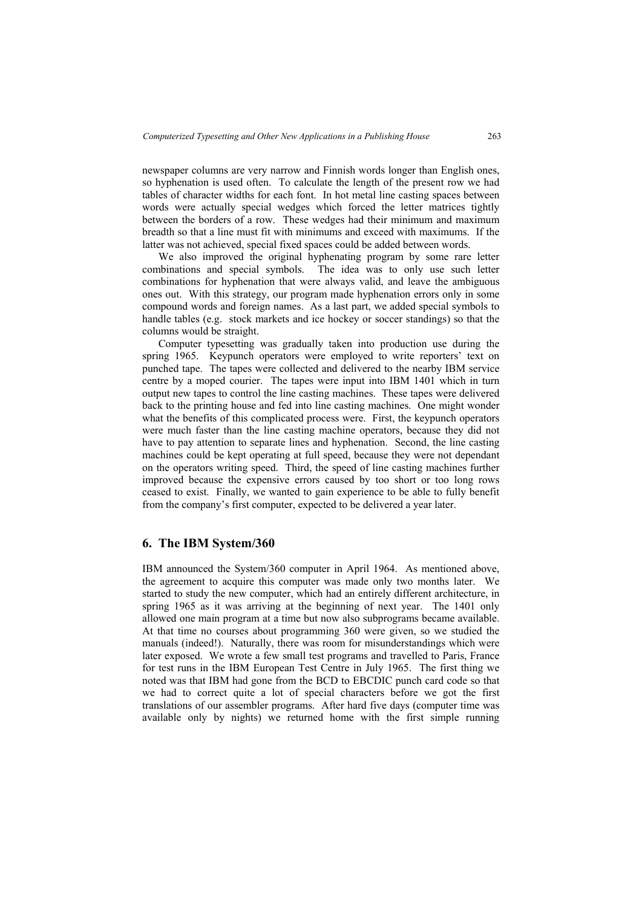newspaper columns are very narrow and Finnish words longer than English ones, so hyphenation is used often. To calculate the length of the present row we had tables of character widths for each font. In hot metal line casting spaces between words were actually special wedges which forced the letter matrices tightly between the borders of a row. These wedges had their minimum and maximum breadth so that a line must fit with minimums and exceed with maximums. If the latter was not achieved, special fixed spaces could be added between words.

We also improved the original hyphenating program by some rare letter combinations and special symbols. The idea was to only use such letter combinations for hyphenation that were always valid, and leave the ambiguous ones out. With this strategy, our program made hyphenation errors only in some compound words and foreign names. As a last part, we added special symbols to handle tables (e.g. stock markets and ice hockey or soccer standings) so that the columns would be straight.

Computer typesetting was gradually taken into production use during the spring 1965. Keypunch operators were employed to write reporters' text on punched tape. The tapes were collected and delivered to the nearby IBM service centre by a moped courier. The tapes were input into IBM 1401 which in turn output new tapes to control the line casting machines. These tapes were delivered back to the printing house and fed into line casting machines. One might wonder what the benefits of this complicated process were. First, the keypunch operators were much faster than the line casting machine operators, because they did not have to pay attention to separate lines and hyphenation. Second, the line casting machines could be kept operating at full speed, because they were not dependant on the operators writing speed. Third, the speed of line casting machines further improved because the expensive errors caused by too short or too long rows ceased to exist. Finally, we wanted to gain experience to be able to fully benefit from the company's first computer, expected to be delivered a year later.

#### **6. The IBM System/360**

IBM announced the System/360 computer in April 1964. As mentioned above, the agreement to acquire this computer was made only two months later. We started to study the new computer, which had an entirely different architecture, in spring 1965 as it was arriving at the beginning of next year. The 1401 only allowed one main program at a time but now also subprograms became available. At that time no courses about programming 360 were given, so we studied the manuals (indeed!). Naturally, there was room for misunderstandings which were later exposed. We wrote a few small test programs and travelled to Paris, France for test runs in the IBM European Test Centre in July 1965. The first thing we noted was that IBM had gone from the BCD to EBCDIC punch card code so that we had to correct quite a lot of special characters before we got the first translations of our assembler programs. After hard five days (computer time was available only by nights) we returned home with the first simple running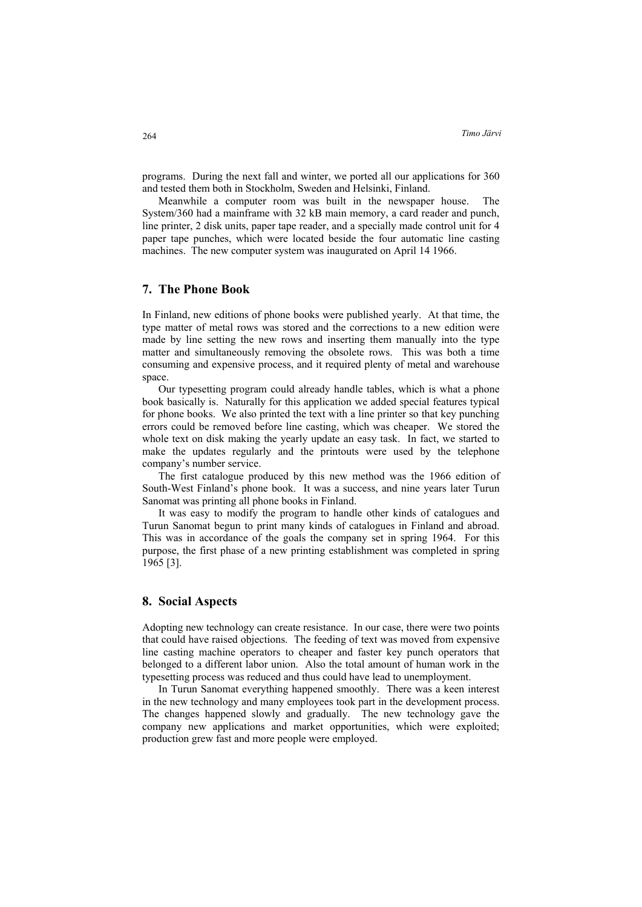programs. During the next fall and winter, we ported all our applications for 360 and tested them both in Stockholm, Sweden and Helsinki, Finland.

Meanwhile a computer room was built in the newspaper house. The System/360 had a mainframe with 32 kB main memory, a card reader and punch, line printer, 2 disk units, paper tape reader, and a specially made control unit for 4 paper tape punches, which were located beside the four automatic line casting machines. The new computer system was inaugurated on April 14 1966.

# **7. The Phone Book**

In Finland, new editions of phone books were published yearly. At that time, the type matter of metal rows was stored and the corrections to a new edition were made by line setting the new rows and inserting them manually into the type matter and simultaneously removing the obsolete rows. This was both a time consuming and expensive process, and it required plenty of metal and warehouse space.

Our typesetting program could already handle tables, which is what a phone book basically is. Naturally for this application we added special features typical for phone books. We also printed the text with a line printer so that key punching errors could be removed before line casting, which was cheaper. We stored the whole text on disk making the yearly update an easy task. In fact, we started to make the updates regularly and the printouts were used by the telephone company's number service.

The first catalogue produced by this new method was the 1966 edition of South-West Finland's phone book. It was a success, and nine years later Turun Sanomat was printing all phone books in Finland.

It was easy to modify the program to handle other kinds of catalogues and Turun Sanomat begun to print many kinds of catalogues in Finland and abroad. This was in accordance of the goals the company set in spring 1964. For this purpose, the first phase of a new printing establishment was completed in spring 1965 [3].

#### **8. Social Aspects**

Adopting new technology can create resistance. In our case, there were two points that could have raised objections. The feeding of text was moved from expensive line casting machine operators to cheaper and faster key punch operators that belonged to a different labor union. Also the total amount of human work in the typesetting process was reduced and thus could have lead to unemployment.

In Turun Sanomat everything happened smoothly. There was a keen interest in the new technology and many employees took part in the development process. The changes happened slowly and gradually. The new technology gave the company new applications and market opportunities, which were exploited; production grew fast and more people were employed.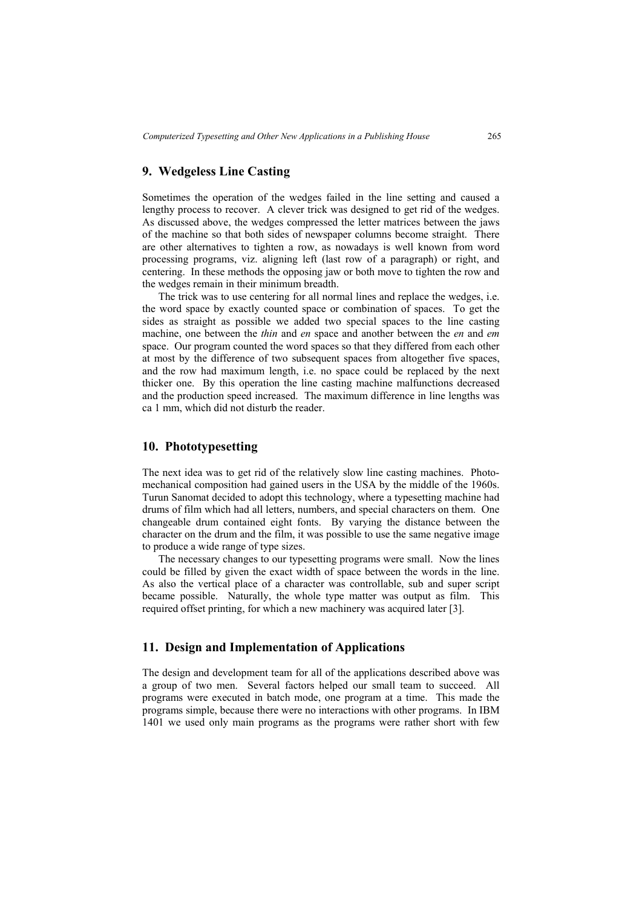# **9. Wedgeless Line Casting**

Sometimes the operation of the wedges failed in the line setting and caused a lengthy process to recover. A clever trick was designed to get rid of the wedges. As discussed above, the wedges compressed the letter matrices between the jaws of the machine so that both sides of newspaper columns become straight. There are other alternatives to tighten a row, as nowadays is well known from word processing programs, viz. aligning left (last row of a paragraph) or right, and centering. In these methods the opposing jaw or both move to tighten the row and the wedges remain in their minimum breadth.

The trick was to use centering for all normal lines and replace the wedges, i.e. the word space by exactly counted space or combination of spaces. To get the sides as straight as possible we added two special spaces to the line casting machine, one between the *thin* and *en* space and another between the *en* and *em* space. Our program counted the word spaces so that they differed from each other at most by the difference of two subsequent spaces from altogether five spaces, and the row had maximum length, i.e. no space could be replaced by the next thicker one. By this operation the line casting machine malfunctions decreased and the production speed increased. The maximum difference in line lengths was ca 1 mm, which did not disturb the reader.

#### **10. Phototypesetting**

The next idea was to get rid of the relatively slow line casting machines. Photomechanical composition had gained users in the USA by the middle of the 1960s. Turun Sanomat decided to adopt this technology, where a typesetting machine had drums of film which had all letters, numbers, and special characters on them. One changeable drum contained eight fonts. By varying the distance between the character on the drum and the film, it was possible to use the same negative image to produce a wide range of type sizes.

The necessary changes to our typesetting programs were small. Now the lines could be filled by given the exact width of space between the words in the line. As also the vertical place of a character was controllable, sub and super script became possible. Naturally, the whole type matter was output as film. This required offset printing, for which a new machinery was acquired later [3].

# **11. Design and Implementation of Applications**

The design and development team for all of the applications described above was a group of two men. Several factors helped our small team to succeed. All programs were executed in batch mode, one program at a time. This made the programs simple, because there were no interactions with other programs. In IBM 1401 we used only main programs as the programs were rather short with few